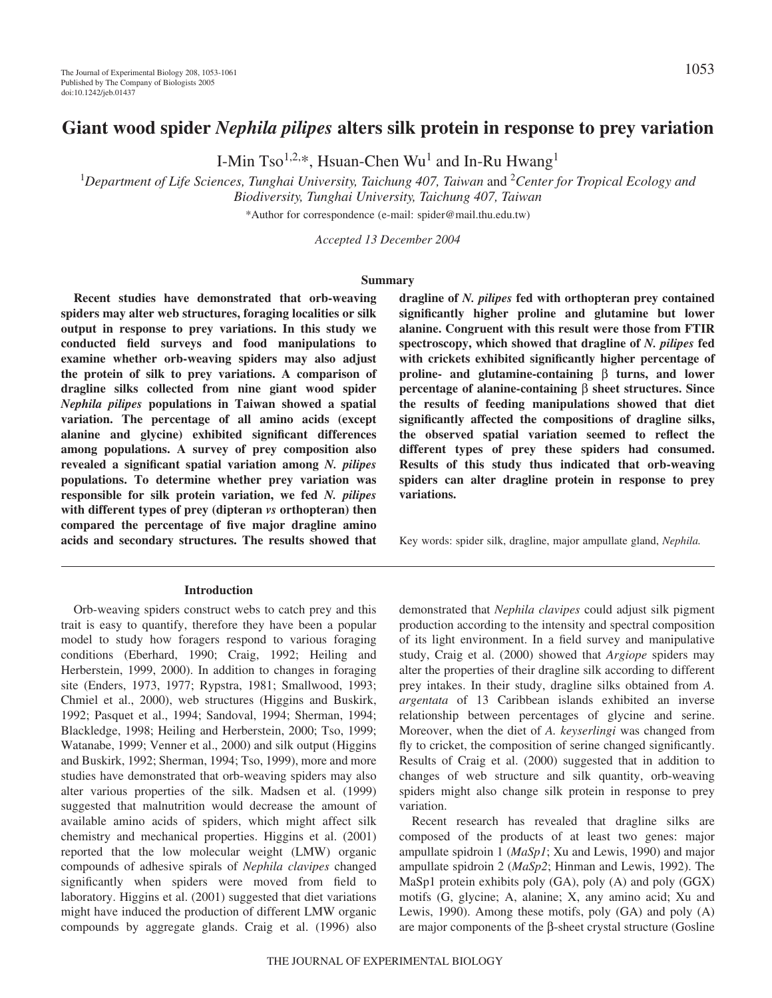I-Min Tso<sup>1,2,\*</sup>, Hsuan-Chen Wu<sup>1</sup> and In-Ru Hwang<sup>1</sup>

<sup>1</sup>Department of Life Sciences, Tunghai University, Taichung 407, Taiwan and <sup>2</sup>Center for Tropical Ecology and *Biodiversity, Tunghai University, Taichung 407, Taiwan* \*Author for correspondence (e-mail: spider@mail.thu.edu.tw)

*Accepted 13 December 2004*

#### **Summary**

**Recent studies have demonstrated that orb-weaving spiders may alter web structures, foraging localities or silk output in response to prey variations. In this study we conducted field surveys and food manipulations to examine whether orb-weaving spiders may also adjust the protein of silk to prey variations. A comparison of dragline silks collected from nine giant wood spider** *Nephila pilipes* **populations in Taiwan showed a spatial variation. The percentage of all amino acids (except alanine and glycine) exhibited significant differences among populations. A survey of prey composition also revealed a significant spatial variation among** *N. pilipes* **populations. To determine whether prey variation was responsible for silk protein variation, we fed** *N. pilipes* **with different types of prey (dipteran** *vs* **orthopteran) then compared the percentage of five major dragline amino acids and secondary structures. The results showed that**

#### **Introduction**

Orb-weaving spiders construct webs to catch prey and this trait is easy to quantify, therefore they have been a popular model to study how foragers respond to various foraging conditions (Eberhard, 1990; Craig, 1992; Heiling and Herberstein, 1999, 2000). In addition to changes in foraging site (Enders, 1973, 1977; Rypstra, 1981; Smallwood, 1993; Chmiel et al., 2000), web structures (Higgins and Buskirk, 1992; Pasquet et al., 1994; Sandoval, 1994; Sherman, 1994; Blackledge, 1998; Heiling and Herberstein, 2000; Tso, 1999; Watanabe, 1999; Venner et al., 2000) and silk output (Higgins and Buskirk, 1992; Sherman, 1994; Tso, 1999), more and more studies have demonstrated that orb-weaving spiders may also alter various properties of the silk. Madsen et al. (1999) suggested that malnutrition would decrease the amount of available amino acids of spiders, which might affect silk chemistry and mechanical properties. Higgins et al. (2001) reported that the low molecular weight (LMW) organic compounds of adhesive spirals of *Nephila clavipes* changed significantly when spiders were moved from field to laboratory. Higgins et al. (2001) suggested that diet variations might have induced the production of different LMW organic compounds by aggregate glands. Craig et al. (1996) also

**dragline of** *N. pilipes* **fed with orthopteran prey contained significantly higher proline and glutamine but lower alanine. Congruent with this result were those from FTIR spectroscopy, which showed that dragline of** *N. pilipes* **fed with crickets exhibited significantly higher percentage of proline- and glutamine-containing** β **turns, and lower percentage of alanine-containing** β **sheet structures. Since the results of feeding manipulations showed that diet significantly affected the compositions of dragline silks, the observed spatial variation seemed to reflect the different types of prey these spiders had consumed. Results of this study thus indicated that orb-weaving spiders can alter dragline protein in response to prey variations.**

Key words: spider silk, dragline, major ampullate gland, *Nephila.*

demonstrated that *Nephila clavipes* could adjust silk pigment production according to the intensity and spectral composition of its light environment. In a field survey and manipulative study, Craig et al. (2000) showed that *Argiope* spiders may alter the properties of their dragline silk according to different prey intakes. In their study, dragline silks obtained from *A. argentata* of 13 Caribbean islands exhibited an inverse relationship between percentages of glycine and serine. Moreover, when the diet of *A. keyserlingi* was changed from fly to cricket, the composition of serine changed significantly. Results of Craig et al. (2000) suggested that in addition to changes of web structure and silk quantity, orb-weaving spiders might also change silk protein in response to prey variation.

Recent research has revealed that dragline silks are composed of the products of at least two genes: major ampullate spidroin 1 (*MaSp1*; Xu and Lewis, 1990) and major ampullate spidroin 2 (*MaSp2*; Hinman and Lewis, 1992). The MaSp1 protein exhibits poly (GA), poly (A) and poly (GGX) motifs (G, glycine; A, alanine; X, any amino acid; Xu and Lewis, 1990). Among these motifs, poly (GA) and poly (A) are major components of the β-sheet crystal structure (Gosline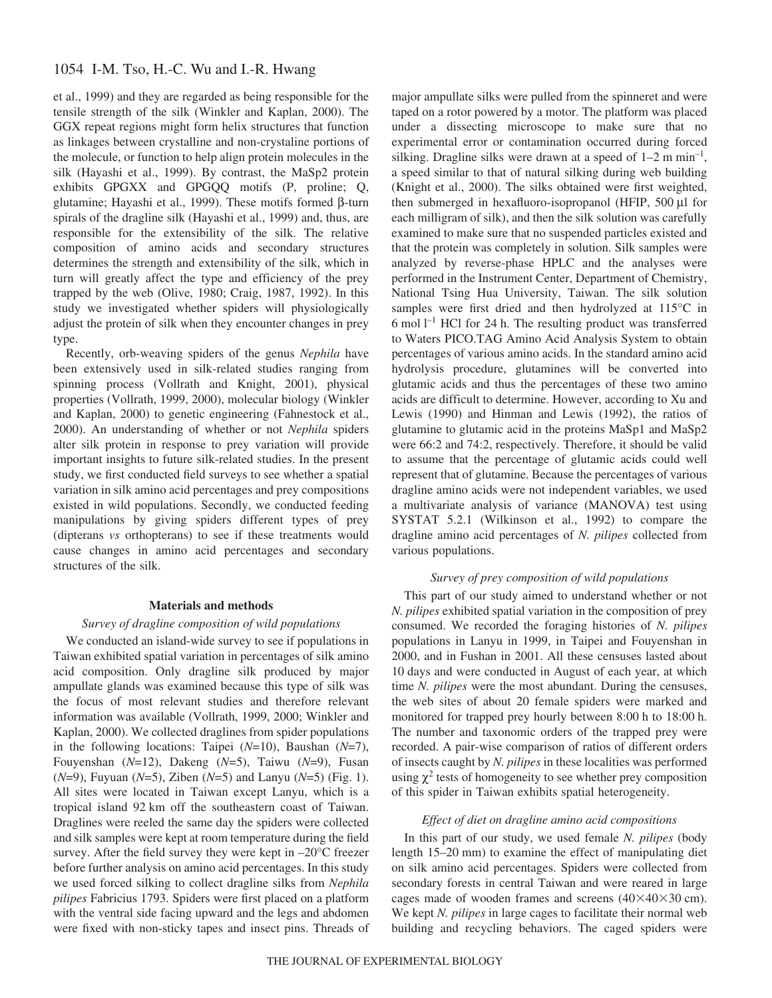## 1054 I-M. Tso, H.-C. Wu and I.-R. Hwang

et al., 1999) and they are regarded as being responsible for the tensile strength of the silk (Winkler and Kaplan, 2000). The GGX repeat regions might form helix structures that function as linkages between crystalline and non-crystaline portions of the molecule, or function to help align protein molecules in the silk (Hayashi et al., 1999). By contrast, the MaSp2 protein exhibits GPGXX and GPGQQ motifs (P, proline; Q, glutamine; Hayashi et al., 1999). These motifs formed β-turn spirals of the dragline silk (Hayashi et al., 1999) and, thus, are responsible for the extensibility of the silk. The relative composition of amino acids and secondary structures determines the strength and extensibility of the silk, which in turn will greatly affect the type and efficiency of the prey trapped by the web (Olive, 1980; Craig, 1987, 1992). In this study we investigated whether spiders will physiologically adjust the protein of silk when they encounter changes in prey type.

Recently, orb-weaving spiders of the genus *Nephila* have been extensively used in silk-related studies ranging from spinning process (Vollrath and Knight, 2001), physical properties (Vollrath, 1999, 2000), molecular biology (Winkler and Kaplan, 2000) to genetic engineering (Fahnestock et al., 2000). An understanding of whether or not *Nephila* spiders alter silk protein in response to prey variation will provide important insights to future silk-related studies. In the present study, we first conducted field surveys to see whether a spatial variation in silk amino acid percentages and prey compositions existed in wild populations. Secondly, we conducted feeding manipulations by giving spiders different types of prey (dipterans *vs* orthopterans) to see if these treatments would cause changes in amino acid percentages and secondary structures of the silk.

#### **Materials and methods**

### *Survey of dragline composition of wild populations*

We conducted an island-wide survey to see if populations in Taiwan exhibited spatial variation in percentages of silk amino acid composition. Only dragline silk produced by major ampullate glands was examined because this type of silk was the focus of most relevant studies and therefore relevant information was available (Vollrath, 1999, 2000; Winkler and Kaplan, 2000). We collected draglines from spider populations in the following locations: Taipei (*N*=10), Baushan (*N*=7), Fouyenshan (*N*=12), Dakeng (*N*=5), Taiwu (*N*=9), Fusan  $(N=9)$ , Fuyuan  $(N=5)$ , Ziben  $(N=5)$  and Lanyu  $(N=5)$  (Fig. 1). All sites were located in Taiwan except Lanyu, which is a tropical island 92 km off the southeastern coast of Taiwan. Draglines were reeled the same day the spiders were collected and silk samples were kept at room temperature during the field survey. After the field survey they were kept in –20°C freezer before further analysis on amino acid percentages. In this study we used forced silking to collect dragline silks from *Nephila pilipes* Fabricius 1793. Spiders were first placed on a platform with the ventral side facing upward and the legs and abdomen were fixed with non-sticky tapes and insect pins. Threads of major ampullate silks were pulled from the spinneret and were taped on a rotor powered by a motor. The platform was placed under a dissecting microscope to make sure that no experimental error or contamination occurred during forced silking. Dragline silks were drawn at a speed of  $1-2 \text{ m min}^{-1}$ , a speed similar to that of natural silking during web building (Knight et al., 2000). The silks obtained were first weighted, then submerged in hexafluoro-isopropanol (HFIP, 500 µl for each milligram of silk), and then the silk solution was carefully examined to make sure that no suspended particles existed and that the protein was completely in solution. Silk samples were analyzed by reverse-phase HPLC and the analyses were performed in the Instrument Center, Department of Chemistry, National Tsing Hua University, Taiwan. The silk solution samples were first dried and then hydrolyzed at 115°C in  $6$  mol  $l^{-1}$  HCl for 24 h. The resulting product was transferred to Waters PICO.TAG Amino Acid Analysis System to obtain percentages of various amino acids. In the standard amino acid hydrolysis procedure, glutamines will be converted into glutamic acids and thus the percentages of these two amino acids are difficult to determine. However, according to Xu and Lewis (1990) and Hinman and Lewis (1992), the ratios of glutamine to glutamic acid in the proteins MaSp1 and MaSp2 were 66:2 and 74:2, respectively. Therefore, it should be valid to assume that the percentage of glutamic acids could well represent that of glutamine. Because the percentages of various dragline amino acids were not independent variables, we used a multivariate analysis of variance (MANOVA) test using SYSTAT 5.2.1 (Wilkinson et al., 1992) to compare the dragline amino acid percentages of *N. pilipes* collected from various populations.

### *Survey of prey composition of wild populations*

This part of our study aimed to understand whether or not *N. pilipes* exhibited spatial variation in the composition of prey consumed. We recorded the foraging histories of *N. pilipes* populations in Lanyu in 1999, in Taipei and Fouyenshan in 2000, and in Fushan in 2001. All these censuses lasted about 10 days and were conducted in August of each year, at which time *N. pilipes* were the most abundant. During the censuses, the web sites of about 20 female spiders were marked and monitored for trapped prey hourly between 8:00 h to 18:00 h. The number and taxonomic orders of the trapped prey were recorded. A pair-wise comparison of ratios of different orders of insects caught by *N. pilipes* in these localities was performed using  $\chi^2$  tests of homogeneity to see whether prey composition of this spider in Taiwan exhibits spatial heterogeneity.

## *Effect of diet on dragline amino acid compositions*

In this part of our study, we used female *N. pilipes* (body length 15–20 mm) to examine the effect of manipulating diet on silk amino acid percentages. Spiders were collected from secondary forests in central Taiwan and were reared in large cages made of wooden frames and screens  $(40\times40\times30$  cm). We kept *N. pilipes* in large cages to facilitate their normal web building and recycling behaviors. The caged spiders were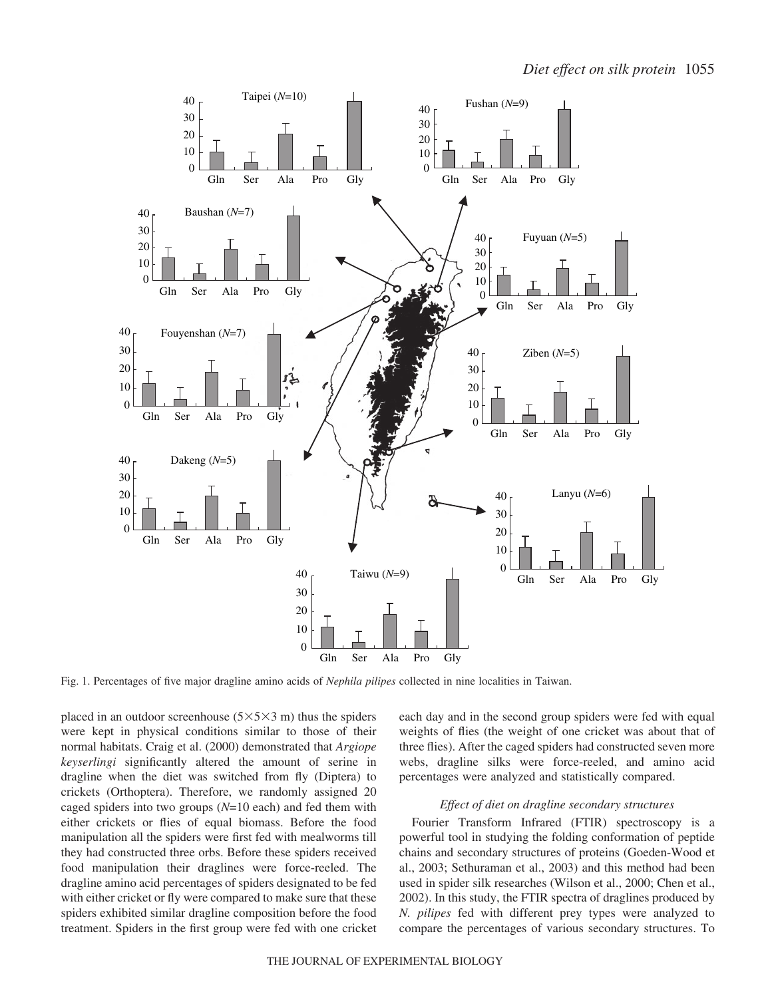

Fig. 1. Percentages of five major dragline amino acids of *Nephila pilipes* collected in nine localities in Taiwan.

placed in an outdoor screenhouse  $(5 \times 5 \times 3 \text{ m})$  thus the spiders were kept in physical conditions similar to those of their normal habitats. Craig et al. (2000) demonstrated that *Argiope keyserlingi* significantly altered the amount of serine in dragline when the diet was switched from fly (Diptera) to crickets (Orthoptera). Therefore, we randomly assigned 20 caged spiders into two groups (*N*=10 each) and fed them with either crickets or flies of equal biomass. Before the food manipulation all the spiders were first fed with mealworms till they had constructed three orbs. Before these spiders received food manipulation their draglines were force-reeled. The dragline amino acid percentages of spiders designated to be fed with either cricket or fly were compared to make sure that these spiders exhibited similar dragline composition before the food treatment. Spiders in the first group were fed with one cricket

each day and in the second group spiders were fed with equal weights of flies (the weight of one cricket was about that of three flies). After the caged spiders had constructed seven more webs, dragline silks were force-reeled, and amino acid percentages were analyzed and statistically compared.

## *Effect of diet on dragline secondary structures*

Fourier Transform Infrared (FTIR) spectroscopy is a powerful tool in studying the folding conformation of peptide chains and secondary structures of proteins (Goeden-Wood et al., 2003; Sethuraman et al., 2003) and this method had been used in spider silk researches (Wilson et al., 2000; Chen et al., 2002). In this study, the FTIR spectra of draglines produced by *N. pilipes* fed with different prey types were analyzed to compare the percentages of various secondary structures. To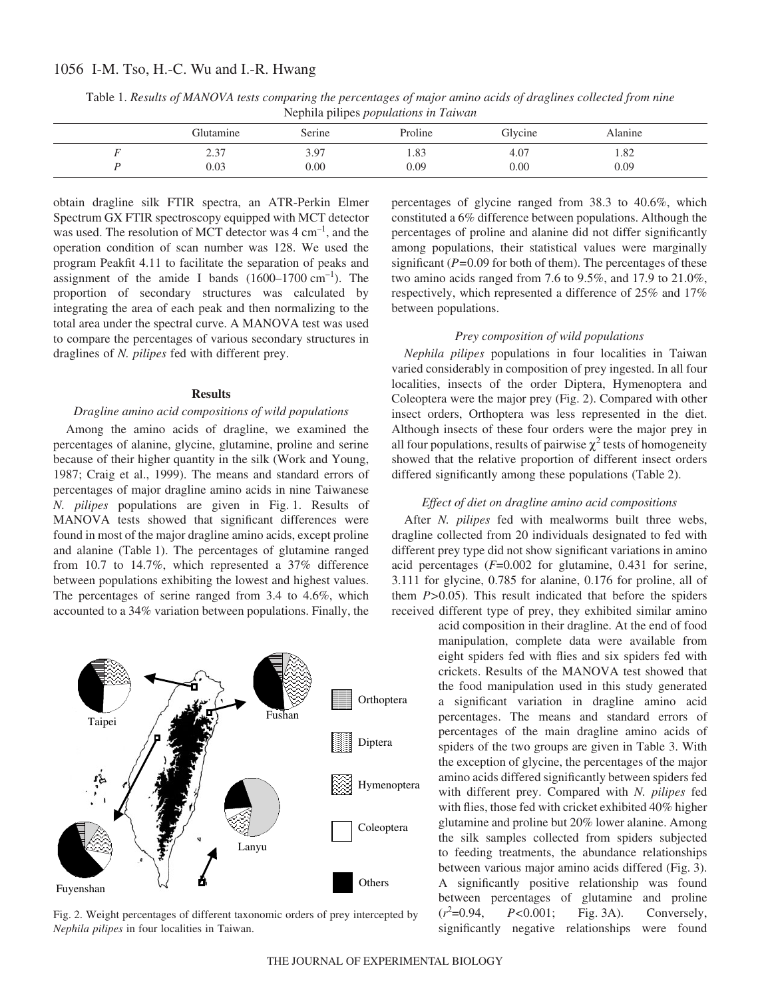# 1056 I-M. Tso, H.-C. Wu and I.-R. Hwang

| Nephila pilipes <i>populations in Taiwan</i> |            |                   |         |         |         |  |
|----------------------------------------------|------------|-------------------|---------|---------|---------|--|
|                                              | Glutamine  | Serine            | Proline | Glycine | Alanine |  |
|                                              | テマニ<br>. ل | 3.97              | 1.83    | 4.07    | 1.82    |  |
|                                              | 0.03       | 0.00 <sub>1</sub> | 0.09    | 0.00    | 0.09    |  |

Table 1. *Results of MANOVA tests comparing the percentages of major amino acids of draglines collected from nine* Nephila pilipes *populations in Taiwan*

obtain dragline silk FTIR spectra, an ATR-Perkin Elmer Spectrum GX FTIR spectroscopy equipped with MCT detector was used. The resolution of MCT detector was  $4 \text{ cm}^{-1}$ , and the operation condition of scan number was 128. We used the program Peakfit 4.11 to facilitate the separation of peaks and assignment of the amide I bands  $(1600-1700 \text{ cm}^{-1})$ . The proportion of secondary structures was calculated by integrating the area of each peak and then normalizing to the total area under the spectral curve. A MANOVA test was used to compare the percentages of various secondary structures in draglines of *N. pilipes* fed with different prey.

### **Results**

#### *Dragline amino acid compositions of wild populations*

Among the amino acids of dragline, we examined the percentages of alanine, glycine, glutamine, proline and serine because of their higher quantity in the silk (Work and Young, 1987; Craig et al., 1999). The means and standard errors of percentages of major dragline amino acids in nine Taiwanese *N. pilipes* populations are given in Fig. 1. Results of MANOVA tests showed that significant differences were found in most of the major dragline amino acids, except proline and alanine (Table 1). The percentages of glutamine ranged from 10.7 to 14.7%, which represented a 37% difference between populations exhibiting the lowest and highest values. The percentages of serine ranged from 3.4 to 4.6%, which accounted to a 34% variation between populations. Finally, the



Fig. 2. Weight percentages of different taxonomic orders of prey intercepted by *Nephila pilipes* in four localities in Taiwan.

percentages of glycine ranged from 38.3 to 40.6%, which constituted a 6% difference between populations. Although the percentages of proline and alanine did not differ significantly among populations, their statistical values were marginally significant (*P=*0.09 for both of them). The percentages of these two amino acids ranged from 7.6 to 9.5%, and 17.9 to 21.0%, respectively, which represented a difference of 25% and 17% between populations.

## *Prey composition of wild populations*

*Nephila pilipes* populations in four localities in Taiwan varied considerably in composition of prey ingested. In all four localities, insects of the order Diptera, Hymenoptera and Coleoptera were the major prey (Fig. 2). Compared with other insect orders, Orthoptera was less represented in the diet. Although insects of these four orders were the major prey in all four populations, results of pairwise  $\chi^2$  tests of homogeneity showed that the relative proportion of different insect orders differed significantly among these populations (Table 2).

### *Effect of diet on dragline amino acid compositions*

After *N. pilipes* fed with mealworms built three webs, dragline collected from 20 individuals designated to fed with different prey type did not show significant variations in amino acid percentages (*F*=0.002 for glutamine, 0.431 for serine, 3.111 for glycine, 0.785 for alanine, 0.176 for proline, all of them *P>*0.05). This result indicated that before the spiders received different type of prey, they exhibited similar amino

> acid composition in their dragline. At the end of food manipulation, complete data were available from eight spiders fed with flies and six spiders fed with crickets. Results of the MANOVA test showed that the food manipulation used in this study generated a significant variation in dragline amino acid percentages. The means and standard errors of percentages of the main dragline amino acids of spiders of the two groups are given in Table 3. With the exception of glycine, the percentages of the major amino acids differed significantly between spiders fed with different prey. Compared with *N. pilipes* fed with flies, those fed with cricket exhibited 40% higher glutamine and proline but 20% lower alanine. Among the silk samples collected from spiders subjected to feeding treatments, the abundance relationships between various major amino acids differed (Fig. 3). A significantly positive relationship was found between percentages of glutamine and proline  $(r^2=0.94,$ *P*<0.001; Fig. 3A). Conversely, significantly negative relationships were found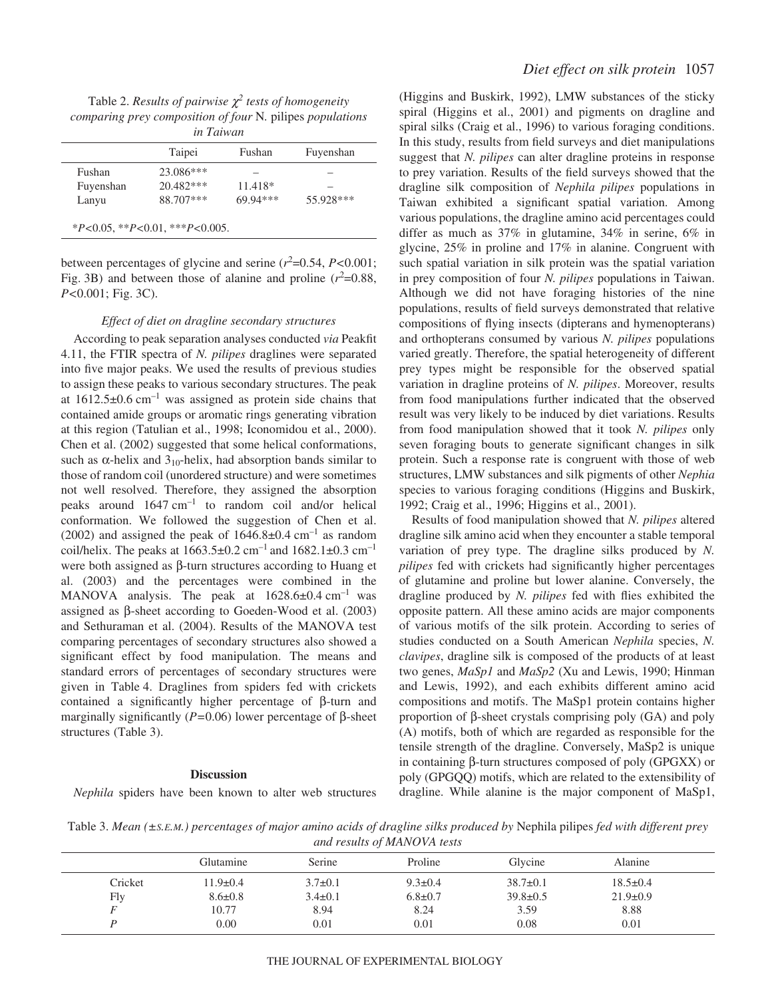Table 2. *Results of pairwise* χ*<sup>2</sup> tests of homogeneity comparing prey composition of four* N*.* pilipes *populations in Taiwan*

|           | Taipei    | Fushan    | Fuyenshan |
|-----------|-----------|-----------|-----------|
| Fushan    | 23.086*** |           |           |
| Fuyenshan | 20.482*** | $11.418*$ |           |
| Lanyu     | 88.707*** | 69.94***  | 55.928*** |

between percentages of glycine and serine  $(r^2=0.54, P<0.001;$ Fig. 3B) and between those of alanine and proline  $(r^2=0.88,$ *P*<0.001; Fig. 3C).

#### *Effect of diet on dragline secondary structures*

According to peak separation analyses conducted *via* Peakfit 4.11, the FTIR spectra of *N. pilipes* draglines were separated into five major peaks. We used the results of previous studies to assign these peaks to various secondary structures. The peak at  $1612.5\pm0.6$  cm<sup>-1</sup> was assigned as protein side chains that contained amide groups or aromatic rings generating vibration at this region (Tatulian et al., 1998; Iconomidou et al., 2000). Chen et al. (2002) suggested that some helical conformations, such as  $\alpha$ -helix and 3<sub>10</sub>-helix, had absorption bands similar to those of random coil (unordered structure) and were sometimes not well resolved. Therefore, they assigned the absorption peaks around  $1647 \text{ cm}^{-1}$  to random coil and/or helical conformation. We followed the suggestion of Chen et al. (2002) and assigned the peak of  $1646.8\pm0.4~\mathrm{cm}^{-1}$  as random coil/helix. The peaks at  $1663.5\pm0.2$  cm<sup>-1</sup> and  $1682.1\pm0.3$  cm<sup>-1</sup> were both assigned as β-turn structures according to Huang et al. (2003) and the percentages were combined in the MANOVA analysis. The peak at  $1628.6\pm0.4$  cm<sup>-1</sup> was assigned as β-sheet according to Goeden-Wood et al. (2003) and Sethuraman et al. (2004). Results of the MANOVA test comparing percentages of secondary structures also showed a significant effect by food manipulation. The means and standard errors of percentages of secondary structures were given in Table 4. Draglines from spiders fed with crickets contained a significantly higher percentage of β-turn and marginally significantly (*P=*0.06) lower percentage of β-sheet structures (Table 3).

#### **Discussion**

*Nephila* spiders have been known to alter web structures

(Higgins and Buskirk, 1992), LMW substances of the sticky spiral (Higgins et al., 2001) and pigments on dragline and spiral silks (Craig et al., 1996) to various foraging conditions. In this study, results from field surveys and diet manipulations suggest that *N. pilipes* can alter dragline proteins in response to prey variation. Results of the field surveys showed that the dragline silk composition of *Nephila pilipes* populations in Taiwan exhibited a significant spatial variation. Among various populations, the dragline amino acid percentages could differ as much as 37% in glutamine, 34% in serine, 6% in glycine, 25% in proline and 17% in alanine. Congruent with such spatial variation in silk protein was the spatial variation in prey composition of four *N. pilipes* populations in Taiwan. Although we did not have foraging histories of the nine populations, results of field surveys demonstrated that relative compositions of flying insects (dipterans and hymenopterans) and orthopterans consumed by various *N. pilipes* populations varied greatly. Therefore, the spatial heterogeneity of different prey types might be responsible for the observed spatial variation in dragline proteins of *N. pilipes*. Moreover, results from food manipulations further indicated that the observed result was very likely to be induced by diet variations. Results from food manipulation showed that it took *N. pilipes* only seven foraging bouts to generate significant changes in silk protein. Such a response rate is congruent with those of web structures, LMW substances and silk pigments of other *Nephia* species to various foraging conditions (Higgins and Buskirk, 1992; Craig et al., 1996; Higgins et al., 2001).

Results of food manipulation showed that *N. pilipes* altered dragline silk amino acid when they encounter a stable temporal variation of prey type. The dragline silks produced by *N. pilipes* fed with crickets had significantly higher percentages of glutamine and proline but lower alanine. Conversely, the dragline produced by *N. pilipes* fed with flies exhibited the opposite pattern. All these amino acids are major components of various motifs of the silk protein. According to series of studies conducted on a South American *Nephila* species, *N. clavipes*, dragline silk is composed of the products of at least two genes, *MaSp1* and *MaSp2* (Xu and Lewis, 1990; Hinman and Lewis, 1992), and each exhibits different amino acid compositions and motifs. The MaSp1 protein contains higher proportion of β-sheet crystals comprising poly (GA) and poly (A) motifs, both of which are regarded as responsible for the tensile strength of the dragline. Conversely, MaSp2 is unique in containing β-turn structures composed of poly (GPGXX) or poly (GPGQQ) motifs, which are related to the extensibility of dragline. While alanine is the major component of MaSp1,

Table 3. *Mean (±S.E.M.) percentages of major amino acids of dragline silks produced by* Nephila pilipes *fed with different prey and results of MANOVA tests*

| $\cdot$ |               |               |               |                |                |  |
|---------|---------------|---------------|---------------|----------------|----------------|--|
|         | Glutamine     | Serine        | Proline       | Glycine        | <b>Alanine</b> |  |
| Cricket | 11.9±0.4      | $3.7 \pm 0.1$ | $9.3 \pm 0.4$ | $38.7 \pm 0.1$ | $18.5 \pm 0.4$ |  |
| Fly     | $8.6 \pm 0.8$ | $3.4 \pm 0.1$ | $6.8 \pm 0.7$ | $39.8 \pm 0.5$ | $21.9 \pm 0.9$ |  |
|         | 10.77         | 8.94          | 8.24          | 3.59           | 8.88           |  |
|         | 0.00          | 0.01          | 0.01          | 0.08           | 0.01           |  |
|         |               |               |               |                |                |  |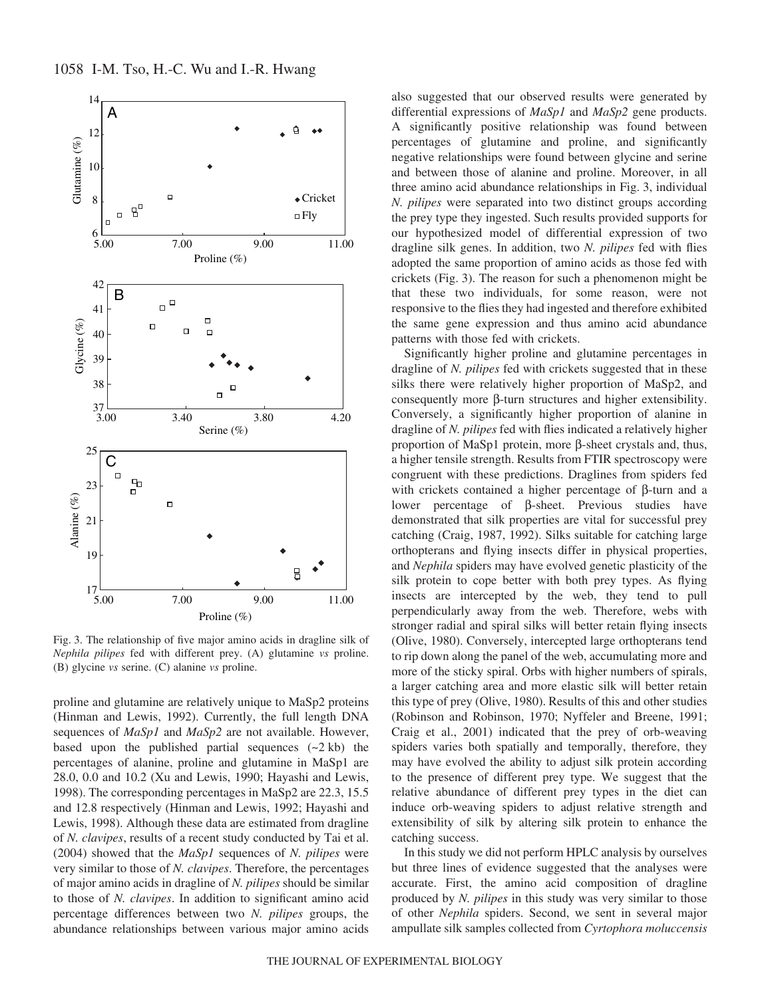

Fig. 3. The relationship of five major amino acids in dragline silk of *Nephila pilipes* fed with different prey. (A) glutamine *vs* proline. (B) glycine *vs* serine. (C) alanine *vs* proline.

proline and glutamine are relatively unique to MaSp2 proteins (Hinman and Lewis, 1992). Currently, the full length DNA sequences of *MaSp1* and *MaSp2* are not available. However, based upon the published partial sequences  $(-2kb)$  the percentages of alanine, proline and glutamine in MaSp1 are 28.0, 0.0 and 10.2 (Xu and Lewis, 1990; Hayashi and Lewis, 1998). The corresponding percentages in MaSp2 are 22.3, 15.5 and 12.8 respectively (Hinman and Lewis, 1992; Hayashi and Lewis, 1998). Although these data are estimated from dragline of *N. clavipes*, results of a recent study conducted by Tai et al. (2004) showed that the *MaSp1* sequences of *N. pilipes* were very similar to those of *N. clavipes*. Therefore, the percentages of major amino acids in dragline of *N. pilipes* should be similar to those of *N. clavipes*. In addition to significant amino acid percentage differences between two *N. pilipes* groups, the abundance relationships between various major amino acids

also suggested that our observed results were generated by differential expressions of *MaSp1* and *MaSp2* gene products. A significantly positive relationship was found between percentages of glutamine and proline, and significantly negative relationships were found between glycine and serine and between those of alanine and proline. Moreover, in all three amino acid abundance relationships in Fig. 3, individual *N. pilipes* were separated into two distinct groups according the prey type they ingested. Such results provided supports for our hypothesized model of differential expression of two dragline silk genes. In addition, two *N. pilipes* fed with flies adopted the same proportion of amino acids as those fed with crickets (Fig. 3). The reason for such a phenomenon might be that these two individuals, for some reason, were not responsive to the flies they had ingested and therefore exhibited the same gene expression and thus amino acid abundance patterns with those fed with crickets.

Significantly higher proline and glutamine percentages in dragline of *N. pilipes* fed with crickets suggested that in these silks there were relatively higher proportion of MaSp2, and consequently more β-turn structures and higher extensibility. Conversely, a significantly higher proportion of alanine in dragline of *N. pilipes* fed with flies indicated a relatively higher proportion of MaSp1 protein, more β-sheet crystals and, thus, a higher tensile strength. Results from FTIR spectroscopy were congruent with these predictions. Draglines from spiders fed with crickets contained a higher percentage of β-turn and a lower percentage of β-sheet. Previous studies have demonstrated that silk properties are vital for successful prey catching (Craig, 1987, 1992). Silks suitable for catching large orthopterans and flying insects differ in physical properties, and *Nephila* spiders may have evolved genetic plasticity of the silk protein to cope better with both prey types. As flying insects are intercepted by the web, they tend to pull perpendicularly away from the web. Therefore, webs with stronger radial and spiral silks will better retain flying insects (Olive, 1980). Conversely, intercepted large orthopterans tend to rip down along the panel of the web, accumulating more and more of the sticky spiral. Orbs with higher numbers of spirals, a larger catching area and more elastic silk will better retain this type of prey (Olive, 1980). Results of this and other studies (Robinson and Robinson, 1970; Nyffeler and Breene, 1991; Craig et al., 2001) indicated that the prey of orb-weaving spiders varies both spatially and temporally, therefore, they may have evolved the ability to adjust silk protein according to the presence of different prey type. We suggest that the relative abundance of different prey types in the diet can induce orb-weaving spiders to adjust relative strength and extensibility of silk by altering silk protein to enhance the catching success.

In this study we did not perform HPLC analysis by ourselves but three lines of evidence suggested that the analyses were accurate. First, the amino acid composition of dragline produced by *N. pilipes* in this study was very similar to those of other *Nephila* spiders. Second, we sent in several major ampullate silk samples collected from *Cyrtophora moluccensis*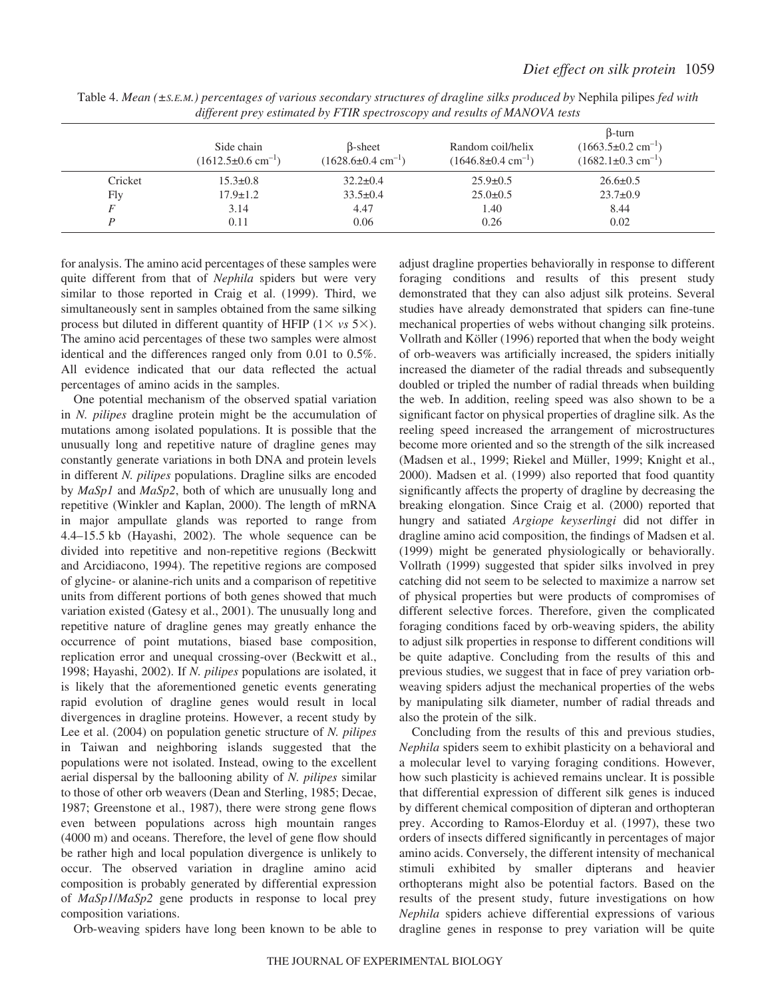|         | Side chain<br>$(1612.5\pm0.6 \text{ cm}^{-1})$ | <b>B</b> -sheet<br>$(1628.6 \pm 0.4 \text{ cm}^{-1})$ | Random coil/helix<br>$(1646.8 \pm 0.4 \text{ cm}^{-1})$ | $\beta$ -turn<br>$(1663.5 \pm 0.2 \text{ cm}^{-1})$<br>$(1682.1\pm0.3 \text{ cm}^{-1})$ |  |
|---------|------------------------------------------------|-------------------------------------------------------|---------------------------------------------------------|-----------------------------------------------------------------------------------------|--|
| Cricket | $15.3 \pm 0.8$                                 | $32.2 \pm 0.4$                                        | $25.9 \pm 0.5$                                          | $26.6 \pm 0.5$                                                                          |  |
| Fly     | $17.9 \pm 1.2$                                 | $33.5 \pm 0.4$                                        | $25.0 \pm 0.5$                                          | $23.7 \pm 0.9$                                                                          |  |
|         | 3.14                                           | 4.47                                                  | 1.40                                                    | 8.44                                                                                    |  |
|         | 0.11                                           | 0.06                                                  | 0.26                                                    | 0.02                                                                                    |  |

Table 4. *Mean (±S.E.M.) percentages of various secondary structures of dragline silks produced by* Nephila pilipes *fed with different prey estimated by FTIR spectroscopy and results of MANOVA tests*

for analysis. The amino acid percentages of these samples were quite different from that of *Nephila* spiders but were very similar to those reported in Craig et al. (1999). Third, we simultaneously sent in samples obtained from the same silking process but diluted in different quantity of HFIP  $(1 \times vs. 5 \times)$ . The amino acid percentages of these two samples were almost identical and the differences ranged only from 0.01 to 0.5%. All evidence indicated that our data reflected the actual percentages of amino acids in the samples.

One potential mechanism of the observed spatial variation in *N. pilipes* dragline protein might be the accumulation of mutations among isolated populations. It is possible that the unusually long and repetitive nature of dragline genes may constantly generate variations in both DNA and protein levels in different *N. pilipes* populations. Dragline silks are encoded by *MaSp1* and *MaSp2*, both of which are unusually long and repetitive (Winkler and Kaplan, 2000). The length of mRNA in major ampullate glands was reported to range from 4.4–15.5·kb (Hayashi, 2002). The whole sequence can be divided into repetitive and non-repetitive regions (Beckwitt and Arcidiacono, 1994). The repetitive regions are composed of glycine- or alanine-rich units and a comparison of repetitive units from different portions of both genes showed that much variation existed (Gatesy et al., 2001). The unusually long and repetitive nature of dragline genes may greatly enhance the occurrence of point mutations, biased base composition, replication error and unequal crossing-over (Beckwitt et al., 1998; Hayashi, 2002). If *N. pilipes* populations are isolated, it is likely that the aforementioned genetic events generating rapid evolution of dragline genes would result in local divergences in dragline proteins. However, a recent study by Lee et al. (2004) on population genetic structure of *N. pilipes* in Taiwan and neighboring islands suggested that the populations were not isolated. Instead, owing to the excellent aerial dispersal by the ballooning ability of *N. pilipes* similar to those of other orb weavers (Dean and Sterling, 1985; Decae, 1987; Greenstone et al., 1987), there were strong gene flows even between populations across high mountain ranges  $(4000 \text{ m})$  and oceans. Therefore, the level of gene flow should be rather high and local population divergence is unlikely to occur. The observed variation in dragline amino acid composition is probably generated by differential expression of *MaSp1*/*MaSp2* gene products in response to local prey composition variations.

Orb-weaving spiders have long been known to be able to

adjust dragline properties behaviorally in response to different foraging conditions and results of this present study demonstrated that they can also adjust silk proteins. Several studies have already demonstrated that spiders can fine-tune mechanical properties of webs without changing silk proteins. Vollrath and Köller (1996) reported that when the body weight of orb-weavers was artificially increased, the spiders initially increased the diameter of the radial threads and subsequently doubled or tripled the number of radial threads when building the web. In addition, reeling speed was also shown to be a significant factor on physical properties of dragline silk. As the reeling speed increased the arrangement of microstructures become more oriented and so the strength of the silk increased (Madsen et al., 1999; Riekel and Müller, 1999; Knight et al., 2000). Madsen et al. (1999) also reported that food quantity significantly affects the property of dragline by decreasing the breaking elongation. Since Craig et al. (2000) reported that hungry and satiated *Argiope keyserlingi* did not differ in dragline amino acid composition, the findings of Madsen et al. (1999) might be generated physiologically or behaviorally. Vollrath (1999) suggested that spider silks involved in prey catching did not seem to be selected to maximize a narrow set of physical properties but were products of compromises of different selective forces. Therefore, given the complicated foraging conditions faced by orb-weaving spiders, the ability to adjust silk properties in response to different conditions will be quite adaptive. Concluding from the results of this and previous studies, we suggest that in face of prey variation orbweaving spiders adjust the mechanical properties of the webs by manipulating silk diameter, number of radial threads and also the protein of the silk.

Concluding from the results of this and previous studies, *Nephila* spiders seem to exhibit plasticity on a behavioral and a molecular level to varying foraging conditions. However, how such plasticity is achieved remains unclear. It is possible that differential expression of different silk genes is induced by different chemical composition of dipteran and orthopteran prey. According to Ramos-Elorduy et al. (1997), these two orders of insects differed significantly in percentages of major amino acids. Conversely, the different intensity of mechanical stimuli exhibited by smaller dipterans and heavier orthopterans might also be potential factors. Based on the results of the present study, future investigations on how *Nephila* spiders achieve differential expressions of various dragline genes in response to prey variation will be quite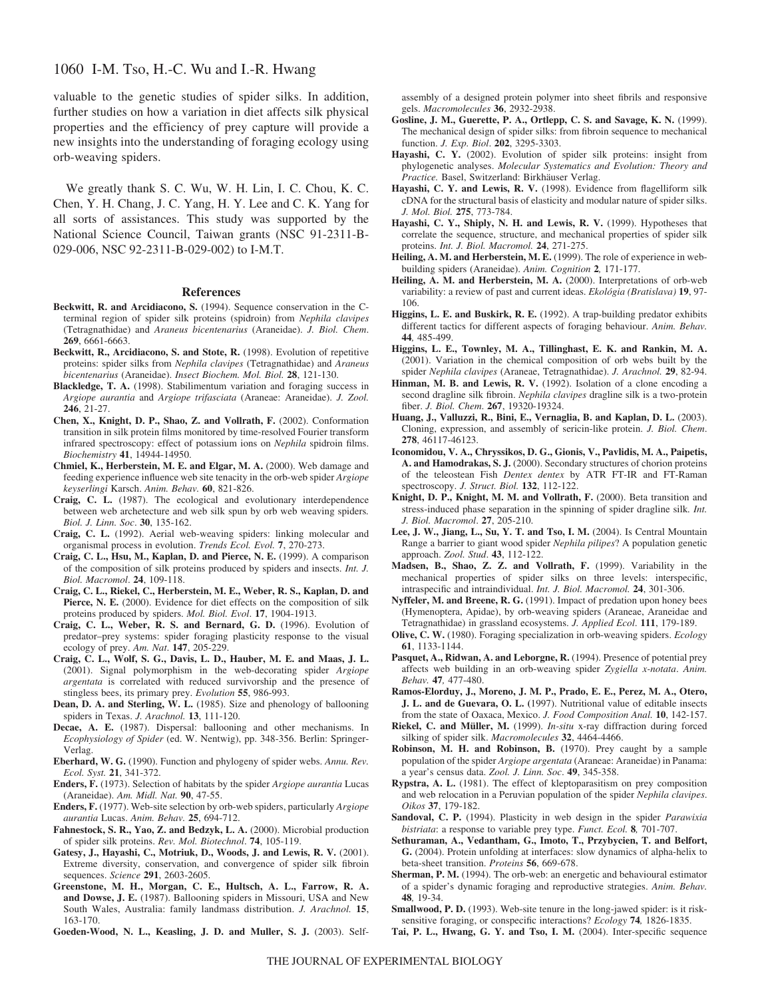## 1060 I-M. Tso, H.-C. Wu and I.-R. Hwang

valuable to the genetic studies of spider silks. In addition, further studies on how a variation in diet affects silk physical properties and the efficiency of prey capture will provide a new insights into the understanding of foraging ecology using orb-weaving spiders.

We greatly thank S. C. Wu, W. H. Lin, I. C. Chou, K. C. Chen, Y. H. Chang, J. C. Yang, H. Y. Lee and C. K. Yang for all sorts of assistances. This study was supported by the National Science Council, Taiwan grants (NSC 91-2311-B-029-006, NSC 92-2311-B-029-002) to I-M.T.

#### **References**

- **Beckwitt, R. and Arcidiacono, S.** (1994). Sequence conservation in the Cterminal region of spider silk proteins (spidroin) from *Nephila clavipes* (Tetragnathidae) and *Araneus bicentenarius* (Araneidae). *J. Biol. Chem*. **269**, 6661-6663.
- **Beckwitt, R., Arcidiacono, S. and Stote, R.** (1998). Evolution of repetitive proteins: spider silks from *Nephila clavipes* (Tetragnathidae) and *Araneus bicentenarius* (Araneidae). *Insect Biochem. Mol. Biol.* **28**, 121-130.
- **Blackledge, T. A.** (1998). Stabilimentum variation and foraging success in *Argiope aurantia* and *Argiope trifasciata* (Araneae: Araneidae). *J. Zool.* **246**, 21-27.
- **Chen, X., Knight, D. P., Shao, Z. and Vollrath, F.** (2002). Conformation transition in silk protein films monitored by time-resolved Fourier transform infrared spectroscopy: effect of potassium ions on *Nephila* spidroin films. *Biochemistry* **41**, 14944-14950.
- **Chmiel, K., Herberstein, M. E. and Elgar, M. A.** (2000). Web damage and feeding experience influence web site tenacity in the orb-web spider *Argiope keyserlingi* Karsch. *Anim. Behav.* **60**, 821-826.
- **Craig, C. L.** (1987). The ecological and evolutionary interdependence between web archetecture and web silk spun by orb web weaving spiders*. Biol. J. Linn. Soc*. **30**, 135-162.
- **Craig, C. L.** (1992). Aerial web-weaving spiders: linking molecular and organismal process in evolution. *Trends Ecol. Evol.* **7**, 270-273.
- **Craig, C. L., Hsu, M., Kaplan, D. and Pierce, N. E.** (1999). A comparison of the composition of silk proteins produced by spiders and insects. *Int. J. Biol. Macromol*. **24**, 109-118.
- **Craig, C. L., Riekel, C., Herberstein, M. E., Weber, R. S., Kaplan, D. and** Pierce, N. E. (2000). Evidence for diet effects on the composition of silk proteins produced by spiders. *Mol. Biol. Evol*. **17**, 1904-1913.
- **Craig, C. L., Weber, R. S. and Bernard, G. D.** (1996). Evolution of predator–prey systems: spider foraging plasticity response to the visual ecology of prey. *Am. Nat*. **147**, 205-229.
- **Craig, C. L., Wolf, S. G., Davis, L. D., Hauber, M. E. and Maas, J. L.** (2001). Signal polymorphism in the web-decorating spider *Argiope argentata* is correlated with reduced survivorship and the presence of stingless bees, its primary prey. *Evolution* **55**, 986-993.
- **Dean, D. A. and Sterling, W. L.** (1985). Size and phenology of ballooning spiders in Texas. *J. Arachnol.* **13**, 111-120.
- **Decae, A. E.** (1987). Dispersal: ballooning and other mechanisms. In *Ecophysiology of Spider* (ed. W. Nentwig), pp. 348-356. Berlin: Springer-Verlag.
- **Eberhard, W. G.** (1990). Function and phylogeny of spider webs. *Annu. Rev. Ecol. Syst.* **21**, 341-372.
- **Enders, F.** (1973). Selection of habitats by the spider *Argiope aurantia* Lucas (Araneidae). *Am. Midl. Nat.* **90**, 47-55.
- **Enders, F.** (1977). Web-site selection by orb-web spiders, particularly *Argiope aurantia* Lucas. *Anim. Behav.* **25**, 694-712.
- **Fahnestock, S. R., Yao, Z. and Bedzyk, L. A.** (2000). Microbial production of spider silk proteins. *Rev. Mol. Biotechnol*. **74**, 105-119.
- **Gatesy, J., Hayashi, C., Motriuk, D., Woods, J. and Lewis, R. V.** (2001). Extreme diversity, conservation, and convergence of spider silk fibroin sequences. *Science* **291**, 2603-2605.
- **Greenstone, M. H., Morgan, C. E., Hultsch, A. L., Farrow, R. A. and Dowse, J. E.** (1987). Ballooning spiders in Missouri, USA and New South Wales, Australia: family landmass distribution. *J. Arachnol.* **15**, 163-170.
- **Goeden-Wood, N. L., Keasling, J. D. and Muller, S. J.** (2003). Self-

assembly of a designed protein polymer into sheet fibrils and responsive gels. *Macromolecules* **36**, 2932-2938.

- **Gosline, J. M., Guerette, P. A., Ortlepp, C. S. and Savage, K. N.** (1999). The mechanical design of spider silks: from fibroin sequence to mechanical function. *J. Exp. Biol*. **202**, 3295-3303.
- **Hayashi, C. Y.** (2002). Evolution of spider silk proteins: insight from phylogenetic analyses. *Molecular Systematics and Evolution: Theory and Practice.* Basel, Switzerland: Birkhäuser Verlag.
- **Hayashi, C. Y. and Lewis, R. V.** (1998). Evidence from flagelliform silk cDNA for the structural basis of elasticity and modular nature of spider silks. *J. Mol. Biol.* **275**, 773-784.
- **Hayashi, C. Y., Shiply, N. H. and Lewis, R. V.** (1999). Hypotheses that correlate the sequence, structure, and mechanical properties of spider silk proteins. *Int. J. Biol. Macromol.* **24**, 271-275.
- **Heiling, A. M. and Herberstein, M. E.** (1999). The role of experience in webbuilding spiders (Araneidae). *Anim. Cognition* **2***,* 171-177.
- **Heiling, A. M. and Herberstein, M. A.** (2000). Interpretations of orb-web variability: a review of past and current ideas. *Ekológia (Bratislava)* **19**, 97- 106.
- **Higgins, L. E. and Buskirk, R. E.** (1992). A trap-building predator exhibits different tactics for different aspects of foraging behaviour. *Anim. Behav.* **44***,* 485-499.
- **Higgins, L. E., Townley, M. A., Tillinghast, E. K. and Rankin, M. A.** (2001). Variation in the chemical composition of orb webs built by the spider *Nephila clavipes* (Araneae, Tetragnathidae). *J. Arachnol.* **29**, 82-94.
- **Hinman, M. B. and Lewis, R. V.** (1992). Isolation of a clone encoding a second dragline silk fibroin. *Nephila clavipes* dragline silk is a two-protein fiber. *J. Biol. Chem*. **267**, 19320-19324.
- **Huang, J., Valluzzi, R., Bini, E., Vernaglia, B. and Kaplan, D. L.** (2003). Cloning, expression, and assembly of sericin-like protein. *J. Biol. Chem*. **278**, 46117-46123.
- **Iconomidou, V. A., Chryssikos, D. G., Gionis, V., Pavlidis, M. A., Paipetis, A. and Hamodrakas, S. J.** (2000). Secondary structures of chorion proteins of the teleostean Fish *Dentex dentex* by ATR FT-IR and FT-Raman spectroscopy. *J. Struct. Biol.* **132**, 112-122.
- **Knight, D. P., Knight, M. M. and Vollrath, F.** (2000). Beta transition and stress-induced phase separation in the spinning of spider dragline silk*. Int. J. Biol. Macromol*. **27**, 205-210.
- **Lee, J. W., Jiang, L., Su, Y. T. and Tso, I. M.** (2004). Is Central Mountain Range a barrier to giant wood spider *Nephila pilipes*? A population genetic approach. *Zool. Stud*. **43**, 112-122.
- **Madsen, B., Shao, Z. Z. and Vollrath, F.** (1999). Variability in the mechanical properties of spider silks on three levels: interspecific, intraspecific and intraindividual. *Int. J. Biol. Macromol.* **24**, 301-306.
- **Nyffeler, M. and Breene, R. G.** (1991). Impact of predation upon honey bees (Hymenoptera, Apidae), by orb-weaving spiders (Araneae, Araneidae and Tetragnathidae) in grassland ecosystems. *J. Applied Ecol*. **111**, 179-189.
- **Olive, C. W.** (1980). Foraging specialization in orb-weaving spiders. *Ecology* **61**, 1133-1144.
- **Pasquet, A., Ridwan, A. and Leborgne, R.** (1994). Presence of potential prey affects web building in an orb-weaving spider *Zygiella x-notata*. *Anim. Behav.* **47***,* 477-480.
- **Ramos-Elorduy, J., Moreno, J. M. P., Prado, E. E., Perez, M. A., Otero, J. L. and de Guevara, O. L. (**1997). Nutritional value of editable insects from the state of Oaxaca, Mexico. *J. Food Composition Anal.* **10**, 142-157.

**Riekel, C. and Müller, M.** (1999). *In-situ* x-ray diffraction during forced silking of spider silk. *Macromolecules* **32**, 4464-4466.

- **Robinson, M. H. and Robinson, B.** (1970). Prey caught by a sample population of the spider *Argiope argentata* (Araneae: Araneidae) in Panama: a year's census data. *Zool. J. Linn. Soc*. **49**, 345-358.
- **Rypstra, A. L.** (1981). The effect of kleptoparasitism on prey composition and web relocation in a Peruvian population of the spider *Nephila clavipes*. *Oikos* **37**, 179-182.
- **Sandoval, C. P.** (1994). Plasticity in web design in the spider *Parawixia bistriata*: a response to variable prey type. *Funct. Ecol.* **8***,* 701-707.
- **Sethuraman, A., Vedantham, G., Imoto, T., Przybycien, T. and Belfort, G.** (2004). Protein unfolding at interfaces: slow dynamics of alpha-helix to beta-sheet transition. *Proteins* **56**, 669-678.
- **Sherman, P. M.** (1994). The orb-web: an energetic and behavioural estimator of a spider's dynamic foraging and reproductive strategies. *Anim. Behav.* **48***,* 19-34.
- **Smallwood, P. D.** (1993). Web-site tenure in the long-jawed spider: is it risksensitive foraging, or conspecific interactions? *Ecology* **74***,* 1826-1835.
- **Tai, P. L., Hwang, G. Y. and Tso, I. M.** (2004). Inter-specific sequence